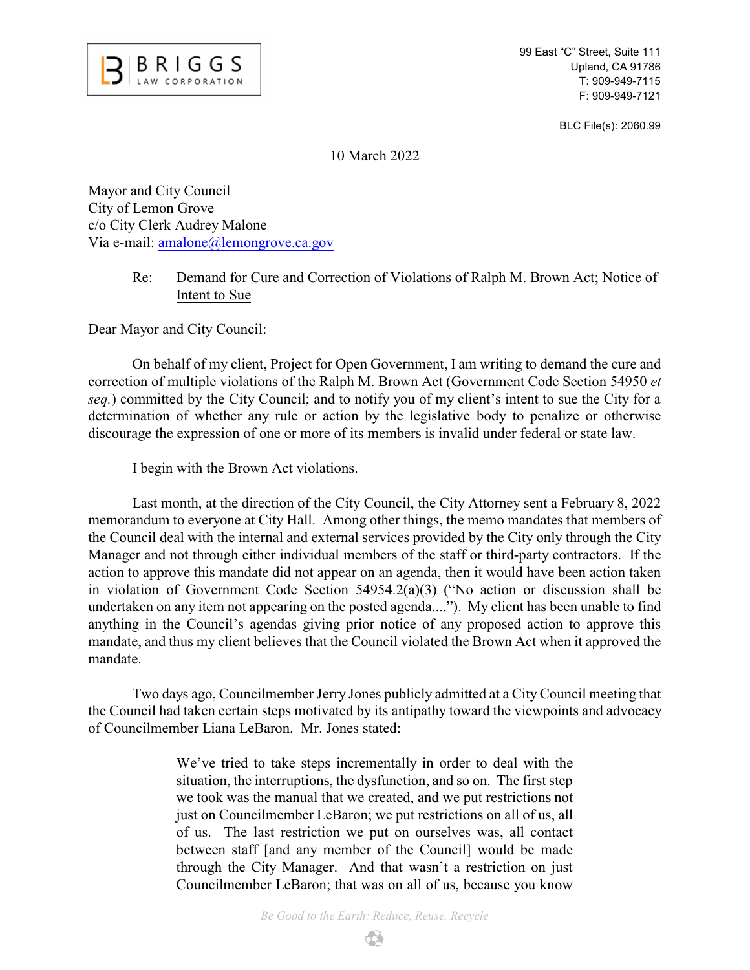

99 East "C" Street, Suite 111 Upland, CA 91786 T: 909-949-7115 F: 909-949-7121

BLC File(s): 2060.99

10 March 2022

Mayor and City Council City of Lemon Grove c/o City Clerk Audrey Malone Via e-mail: [amalone@lemongrove.ca.gov](mailto:amalone@lemongrove.ca.gov)

## Re: Demand for Cure and Correction of Violations of Ralph M. Brown Act; Notice of Intent to Sue

Dear Mayor and City Council:

On behalf of my client, Project for Open Government, I am writing to demand the cure and correction of multiple violations of the Ralph M. Brown Act (Government Code Section 54950 *et seq.*) committed by the City Council; and to notify you of my client's intent to sue the City for a determination of whether any rule or action by the legislative body to penalize or otherwise discourage the expression of one or more of its members is invalid under federal or state law.

I begin with the Brown Act violations.

Last month, at the direction of the City Council, the City Attorney sent a February 8, 2022 memorandum to everyone at City Hall. Among other things, the memo mandates that members of the Council deal with the internal and external services provided by the City only through the City Manager and not through either individual members of the staff or third-party contractors. If the action to approve this mandate did not appear on an agenda, then it would have been action taken in violation of Government Code Section 54954.2(a)(3) ("No action or discussion shall be undertaken on any item not appearing on the posted agenda...."). My client has been unable to find anything in the Council's agendas giving prior notice of any proposed action to approve this mandate, and thus my client believes that the Council violated the Brown Act when it approved the mandate.

Two days ago, Councilmember Jerry Jones publicly admitted at a City Council meeting that the Council had taken certain steps motivated by its antipathy toward the viewpoints and advocacy of Councilmember Liana LeBaron. Mr. Jones stated:

> We've tried to take steps incrementally in order to deal with the situation, the interruptions, the dysfunction, and so on. The first step we took was the manual that we created, and we put restrictions not just on Councilmember LeBaron; we put restrictions on all of us, all of us. The last restriction we put on ourselves was, all contact between staff [and any member of the Council] would be made through the City Manager. And that wasn't a restriction on just Councilmember LeBaron; that was on all of us, because you know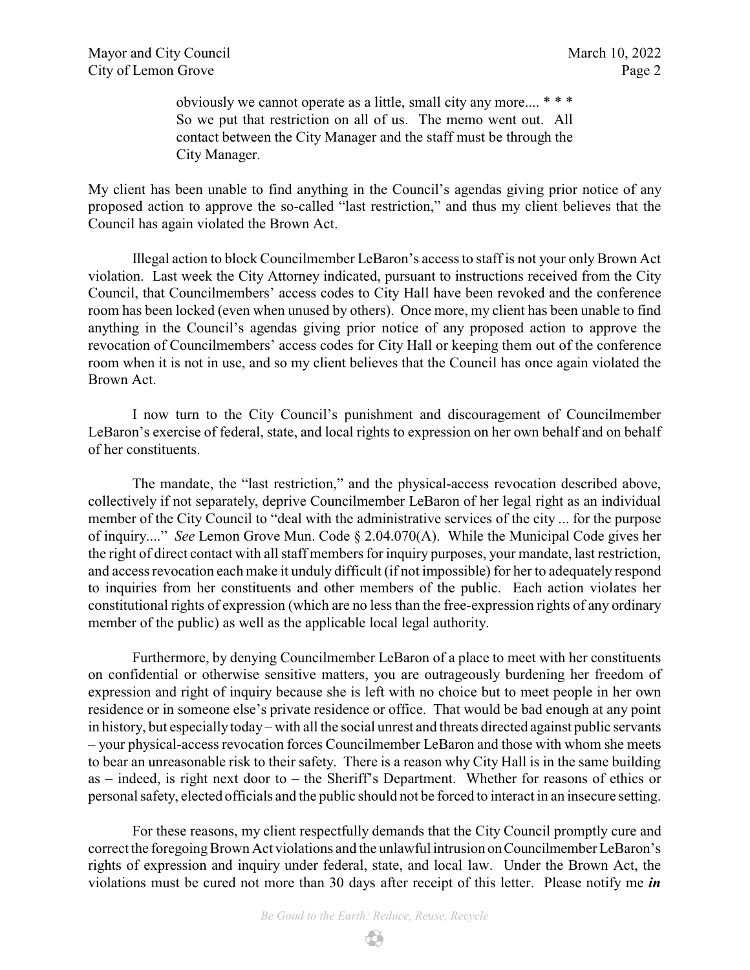obviously we cannot operate as a little, small city any more.... \* \* \* So we put that restriction on all of us. The memo went out. All contact between the City Manager and the staff must be through the City Manager.

My client has been unable to find anything in the Council's agendas giving prior notice of any proposed action to approve the so-called "last restriction," and thus my client believes that the Council has again violated the Brown Act.

Illegal action to block Councilmember LeBaron's access to staff is not your only Brown Act violation. Last week the City Attorney indicated, pursuant to instructions received from the City Council, that Councilmembers' access codes to City Hall have been revoked and the conference room has been locked (even when unused by others). Once more, my client has been unable to find anything in the Council's agendas giving prior notice of any proposed action to approve the revocation of Councilmembers' access codes for City Hall or keeping them out of the conference room when it is not in use, and so my client believes that the Council has once again violated the Brown Act.

I now turn to the City Council's punishment and discouragement of Councilmember LeBaron's exercise of federal, state, and local rights to expression on her own behalf and on behalf of her constituents.

The mandate, the "last restriction," and the physical-access revocation described above, collectively if not separately, deprive Councilmember LeBaron of her legal right as an individual member of the City Council to "deal with the administrative services of the city ... for the purpose of inquiry...." *See* Lemon Grove Mun. Code § 2.04.070(A). While the Municipal Code gives her the right of direct contact with all staff members for inquiry purposes, your mandate, last restriction, and access revocation each make it unduly difficult (if not impossible) for her to adequately respond to inquiries from her constituents and other members of the public. Each action violates her constitutional rights of expression (which are no less than the free-expression rights of any ordinary member of the public) as well as the applicable local legal authority.

Furthermore, by denying Councilmember LeBaron of a place to meet with her constituents on confidential or otherwise sensitive matters, you are outrageously burdening her freedom of expression and right of inquiry because she is left with no choice but to meet people in her own residence or in someone else's private residence or office. That would be bad enough at any point in history, but especiallytoday – with all the social unrest and threats directed against public servants – your physical-access revocation forces Councilmember LeBaron and those with whom she meets to bear an unreasonable risk to their safety. There is a reason why City Hall is in the same building as – indeed, is right next door to – the Sheriff's Department. Whether for reasons of ethics or personal safety, elected officials and the public should not be forced to interact in an insecure setting.

For these reasons, my client respectfully demands that the City Council promptly cure and correct the foregoing Brown Act violations and the unlawful intrusion on Councilmember LeBaron's rights of expression and inquiry under federal, state, and local law. Under the Brown Act, the violations must be cured not more than 30 days after receipt of this letter. Please notify me *in*